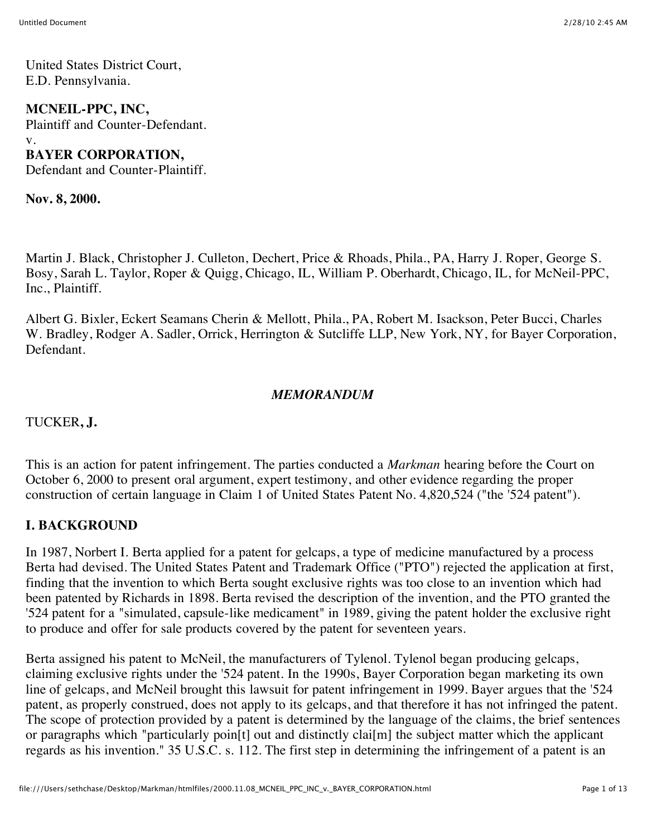United States District Court, E.D. Pennsylvania.

**MCNEIL-PPC, INC,** Plaintiff and Counter-Defendant. v. **BAYER CORPORATION,**

Defendant and Counter-Plaintiff.

**Nov. 8, 2000.**

Martin J. Black, Christopher J. Culleton, Dechert, Price & Rhoads, Phila., PA, Harry J. Roper, George S. Bosy, Sarah L. Taylor, Roper & Quigg, Chicago, IL, William P. Oberhardt, Chicago, IL, for McNeil-PPC, Inc., Plaintiff.

Albert G. Bixler, Eckert Seamans Cherin & Mellott, Phila., PA, Robert M. Isackson, Peter Bucci, Charles W. Bradley, Rodger A. Sadler, Orrick, Herrington & Sutcliffe LLP, New York, NY, for Bayer Corporation, Defendant.

#### *MEMORANDUM*

TUCKER**, J.**

This is an action for patent infringement. The parties conducted a *Markman* hearing before the Court on October 6, 2000 to present oral argument, expert testimony, and other evidence regarding the proper construction of certain language in Claim 1 of United States Patent No. 4,820,524 ("the '524 patent").

## **I. BACKGROUND**

In 1987, Norbert I. Berta applied for a patent for gelcaps, a type of medicine manufactured by a process Berta had devised. The United States Patent and Trademark Office ("PTO") rejected the application at first, finding that the invention to which Berta sought exclusive rights was too close to an invention which had been patented by Richards in 1898. Berta revised the description of the invention, and the PTO granted the '524 patent for a "simulated, capsule-like medicament" in 1989, giving the patent holder the exclusive right to produce and offer for sale products covered by the patent for seventeen years.

Berta assigned his patent to McNeil, the manufacturers of Tylenol. Tylenol began producing gelcaps, claiming exclusive rights under the '524 patent. In the 1990s, Bayer Corporation began marketing its own line of gelcaps, and McNeil brought this lawsuit for patent infringement in 1999. Bayer argues that the '524 patent, as properly construed, does not apply to its gelcaps, and that therefore it has not infringed the patent. The scope of protection provided by a patent is determined by the language of the claims, the brief sentences or paragraphs which "particularly poin[t] out and distinctly clai[m] the subject matter which the applicant regards as his invention." 35 U.S.C. s. 112. The first step in determining the infringement of a patent is an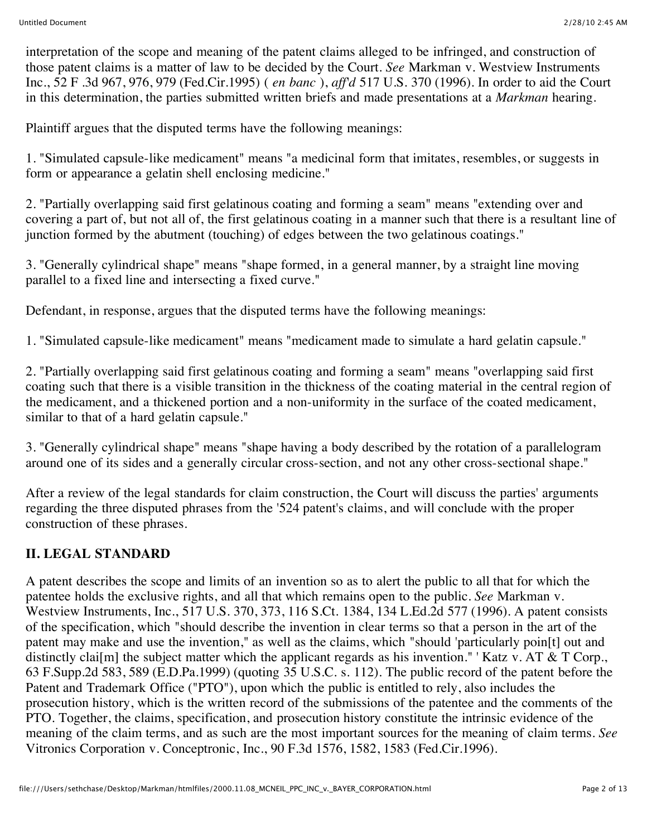interpretation of the scope and meaning of the patent claims alleged to be infringed, and construction of those patent claims is a matter of law to be decided by the Court. *See* Markman v. Westview Instruments Inc., 52 F .3d 967, 976, 979 (Fed.Cir.1995) ( *en banc* ), *aff'd* 517 U.S. 370 (1996). In order to aid the Court in this determination, the parties submitted written briefs and made presentations at a *Markman* hearing.

Plaintiff argues that the disputed terms have the following meanings:

1. "Simulated capsule-like medicament" means "a medicinal form that imitates, resembles, or suggests in form or appearance a gelatin shell enclosing medicine."

2. "Partially overlapping said first gelatinous coating and forming a seam" means "extending over and covering a part of, but not all of, the first gelatinous coating in a manner such that there is a resultant line of junction formed by the abutment (touching) of edges between the two gelatinous coatings."

3. "Generally cylindrical shape" means "shape formed, in a general manner, by a straight line moving parallel to a fixed line and intersecting a fixed curve."

Defendant, in response, argues that the disputed terms have the following meanings:

1. "Simulated capsule-like medicament" means "medicament made to simulate a hard gelatin capsule."

2. "Partially overlapping said first gelatinous coating and forming a seam" means "overlapping said first coating such that there is a visible transition in the thickness of the coating material in the central region of the medicament, and a thickened portion and a non-uniformity in the surface of the coated medicament, similar to that of a hard gelatin capsule."

3. "Generally cylindrical shape" means "shape having a body described by the rotation of a parallelogram around one of its sides and a generally circular cross-section, and not any other cross-sectional shape."

After a review of the legal standards for claim construction, the Court will discuss the parties' arguments regarding the three disputed phrases from the '524 patent's claims, and will conclude with the proper construction of these phrases.

# **II. LEGAL STANDARD**

A patent describes the scope and limits of an invention so as to alert the public to all that for which the patentee holds the exclusive rights, and all that which remains open to the public. *See* Markman v. Westview Instruments, Inc., 517 U.S. 370, 373, 116 S.Ct. 1384, 134 L.Ed.2d 577 (1996). A patent consists of the specification, which "should describe the invention in clear terms so that a person in the art of the patent may make and use the invention," as well as the claims, which "should 'particularly poin[t] out and distinctly clai[m] the subject matter which the applicant regards as his invention." 'Katz v. AT  $&$  T Corp., 63 F.Supp.2d 583, 589 (E.D.Pa.1999) (quoting 35 U.S.C. s. 112). The public record of the patent before the Patent and Trademark Office ("PTO"), upon which the public is entitled to rely, also includes the prosecution history, which is the written record of the submissions of the patentee and the comments of the PTO. Together, the claims, specification, and prosecution history constitute the intrinsic evidence of the meaning of the claim terms, and as such are the most important sources for the meaning of claim terms. *See* Vitronics Corporation v. Conceptronic, Inc., 90 F.3d 1576, 1582, 1583 (Fed.Cir.1996).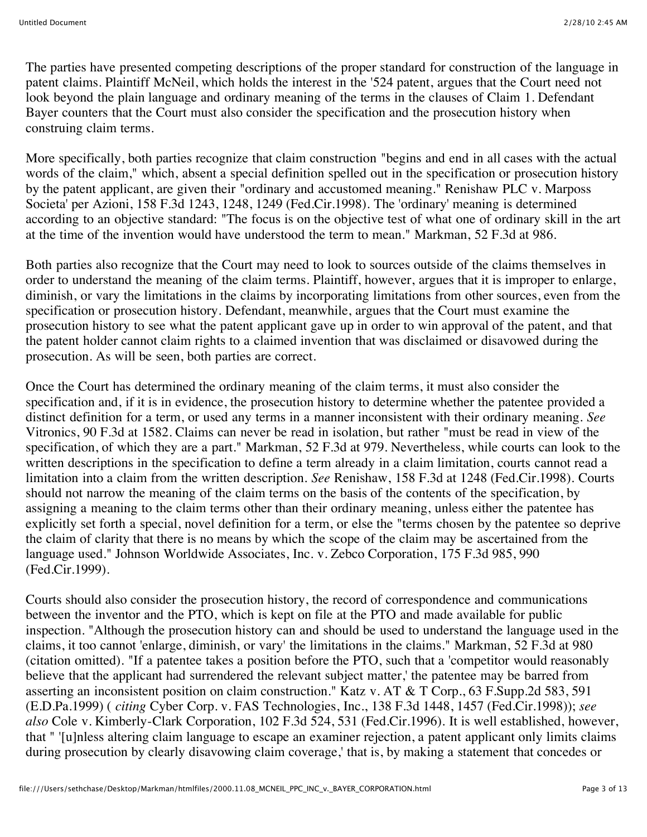The parties have presented competing descriptions of the proper standard for construction of the language in patent claims. Plaintiff McNeil, which holds the interest in the '524 patent, argues that the Court need not look beyond the plain language and ordinary meaning of the terms in the clauses of Claim 1. Defendant Bayer counters that the Court must also consider the specification and the prosecution history when construing claim terms.

More specifically, both parties recognize that claim construction "begins and end in all cases with the actual words of the claim," which, absent a special definition spelled out in the specification or prosecution history by the patent applicant, are given their "ordinary and accustomed meaning." Renishaw PLC v. Marposs Societa' per Azioni, 158 F.3d 1243, 1248, 1249 (Fed.Cir.1998). The 'ordinary' meaning is determined according to an objective standard: "The focus is on the objective test of what one of ordinary skill in the art at the time of the invention would have understood the term to mean." Markman, 52 F.3d at 986.

Both parties also recognize that the Court may need to look to sources outside of the claims themselves in order to understand the meaning of the claim terms. Plaintiff, however, argues that it is improper to enlarge, diminish, or vary the limitations in the claims by incorporating limitations from other sources, even from the specification or prosecution history. Defendant, meanwhile, argues that the Court must examine the prosecution history to see what the patent applicant gave up in order to win approval of the patent, and that the patent holder cannot claim rights to a claimed invention that was disclaimed or disavowed during the prosecution. As will be seen, both parties are correct.

Once the Court has determined the ordinary meaning of the claim terms, it must also consider the specification and, if it is in evidence, the prosecution history to determine whether the patentee provided a distinct definition for a term, or used any terms in a manner inconsistent with their ordinary meaning. *See* Vitronics, 90 F.3d at 1582. Claims can never be read in isolation, but rather "must be read in view of the specification, of which they are a part." Markman, 52 F.3d at 979. Nevertheless, while courts can look to the written descriptions in the specification to define a term already in a claim limitation, courts cannot read a limitation into a claim from the written description. *See* Renishaw, 158 F.3d at 1248 (Fed.Cir.1998). Courts should not narrow the meaning of the claim terms on the basis of the contents of the specification, by assigning a meaning to the claim terms other than their ordinary meaning, unless either the patentee has explicitly set forth a special, novel definition for a term, or else the "terms chosen by the patentee so deprive the claim of clarity that there is no means by which the scope of the claim may be ascertained from the language used." Johnson Worldwide Associates, Inc. v. Zebco Corporation, 175 F.3d 985, 990 (Fed.Cir.1999).

Courts should also consider the prosecution history, the record of correspondence and communications between the inventor and the PTO, which is kept on file at the PTO and made available for public inspection. "Although the prosecution history can and should be used to understand the language used in the claims, it too cannot 'enlarge, diminish, or vary' the limitations in the claims." Markman, 52 F.3d at 980 (citation omitted). "If a patentee takes a position before the PTO, such that a 'competitor would reasonably believe that the applicant had surrendered the relevant subject matter,' the patentee may be barred from asserting an inconsistent position on claim construction." Katz v. AT & T Corp., 63 F.Supp.2d 583, 591 (E.D.Pa.1999) ( *citing* Cyber Corp. v. FAS Technologies, Inc., 138 F.3d 1448, 1457 (Fed.Cir.1998)); *see also* Cole v. Kimberly-Clark Corporation, 102 F.3d 524, 531 (Fed.Cir.1996). It is well established, however, that " '[u]nless altering claim language to escape an examiner rejection, a patent applicant only limits claims during prosecution by clearly disavowing claim coverage,' that is, by making a statement that concedes or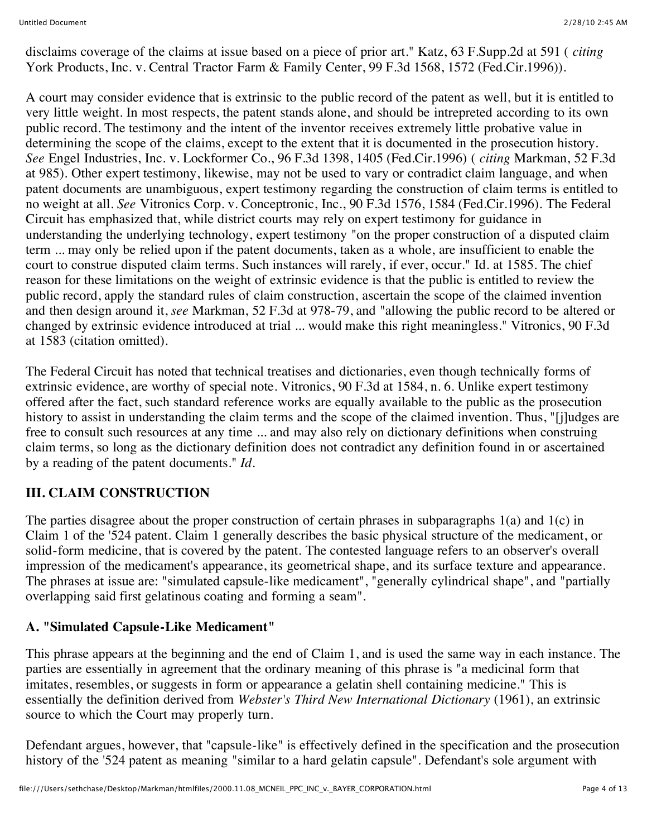disclaims coverage of the claims at issue based on a piece of prior art." Katz, 63 F.Supp.2d at 591 ( *citing* York Products, Inc. v. Central Tractor Farm & Family Center, 99 F.3d 1568, 1572 (Fed.Cir.1996)).

A court may consider evidence that is extrinsic to the public record of the patent as well, but it is entitled to very little weight. In most respects, the patent stands alone, and should be intrepreted according to its own public record. The testimony and the intent of the inventor receives extremely little probative value in determining the scope of the claims, except to the extent that it is documented in the prosecution history. *See* Engel Industries, Inc. v. Lockformer Co., 96 F.3d 1398, 1405 (Fed.Cir.1996) ( *citing* Markman, 52 F.3d at 985). Other expert testimony, likewise, may not be used to vary or contradict claim language, and when patent documents are unambiguous, expert testimony regarding the construction of claim terms is entitled to no weight at all. *See* Vitronics Corp. v. Conceptronic, Inc., 90 F.3d 1576, 1584 (Fed.Cir.1996). The Federal Circuit has emphasized that, while district courts may rely on expert testimony for guidance in understanding the underlying technology, expert testimony "on the proper construction of a disputed claim term ... may only be relied upon if the patent documents, taken as a whole, are insufficient to enable the court to construe disputed claim terms. Such instances will rarely, if ever, occur." Id. at 1585. The chief reason for these limitations on the weight of extrinsic evidence is that the public is entitled to review the public record, apply the standard rules of claim construction, ascertain the scope of the claimed invention and then design around it, *see* Markman, 52 F.3d at 978-79, and "allowing the public record to be altered or changed by extrinsic evidence introduced at trial ... would make this right meaningless." Vitronics, 90 F.3d at 1583 (citation omitted).

The Federal Circuit has noted that technical treatises and dictionaries, even though technically forms of extrinsic evidence, are worthy of special note. Vitronics, 90 F.3d at 1584, n. 6. Unlike expert testimony offered after the fact, such standard reference works are equally available to the public as the prosecution history to assist in understanding the claim terms and the scope of the claimed invention. Thus, "[j]udges are free to consult such resources at any time ... and may also rely on dictionary definitions when construing claim terms, so long as the dictionary definition does not contradict any definition found in or ascertained by a reading of the patent documents." *Id.*

## **III. CLAIM CONSTRUCTION**

The parties disagree about the proper construction of certain phrases in subparagraphs 1(a) and 1(c) in Claim 1 of the '524 patent. Claim 1 generally describes the basic physical structure of the medicament, or solid-form medicine, that is covered by the patent. The contested language refers to an observer's overall impression of the medicament's appearance, its geometrical shape, and its surface texture and appearance. The phrases at issue are: "simulated capsule-like medicament", "generally cylindrical shape", and "partially overlapping said first gelatinous coating and forming a seam".

#### **A. "Simulated Capsule-Like Medicament"**

This phrase appears at the beginning and the end of Claim 1, and is used the same way in each instance. The parties are essentially in agreement that the ordinary meaning of this phrase is "a medicinal form that imitates, resembles, or suggests in form or appearance a gelatin shell containing medicine." This is essentially the definition derived from *Webster's Third New International Dictionary* (1961), an extrinsic source to which the Court may properly turn.

Defendant argues, however, that "capsule-like" is effectively defined in the specification and the prosecution history of the '524 patent as meaning "similar to a hard gelatin capsule". Defendant's sole argument with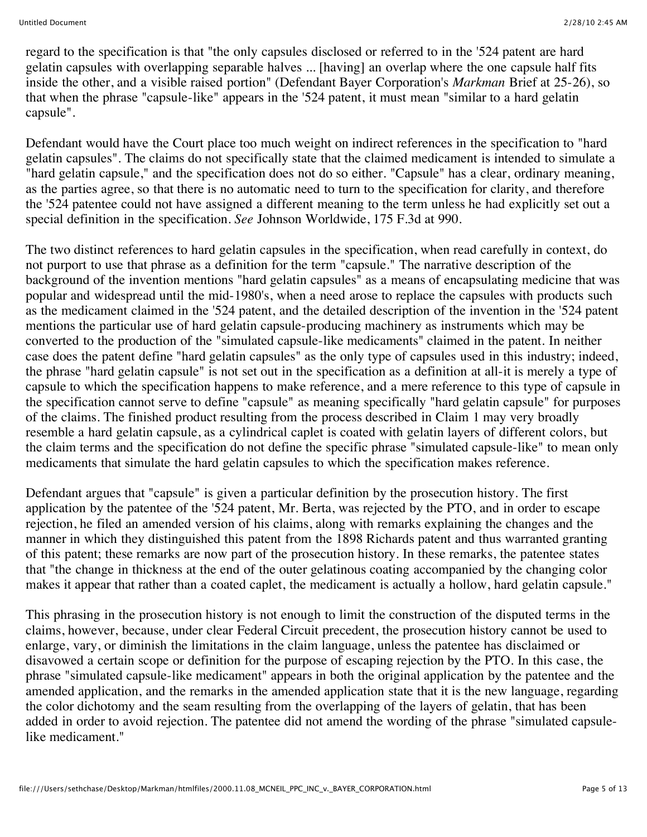regard to the specification is that "the only capsules disclosed or referred to in the '524 patent are hard gelatin capsules with overlapping separable halves ... [having] an overlap where the one capsule half fits inside the other, and a visible raised portion" (Defendant Bayer Corporation's *Markman* Brief at 25-26), so that when the phrase "capsule-like" appears in the '524 patent, it must mean "similar to a hard gelatin capsule".

Defendant would have the Court place too much weight on indirect references in the specification to "hard gelatin capsules". The claims do not specifically state that the claimed medicament is intended to simulate a "hard gelatin capsule," and the specification does not do so either. "Capsule" has a clear, ordinary meaning, as the parties agree, so that there is no automatic need to turn to the specification for clarity, and therefore the '524 patentee could not have assigned a different meaning to the term unless he had explicitly set out a special definition in the specification. *See* Johnson Worldwide, 175 F.3d at 990.

The two distinct references to hard gelatin capsules in the specification, when read carefully in context, do not purport to use that phrase as a definition for the term "capsule." The narrative description of the background of the invention mentions "hard gelatin capsules" as a means of encapsulating medicine that was popular and widespread until the mid-1980's, when a need arose to replace the capsules with products such as the medicament claimed in the '524 patent, and the detailed description of the invention in the '524 patent mentions the particular use of hard gelatin capsule-producing machinery as instruments which may be converted to the production of the "simulated capsule-like medicaments" claimed in the patent. In neither case does the patent define "hard gelatin capsules" as the only type of capsules used in this industry; indeed, the phrase "hard gelatin capsule" is not set out in the specification as a definition at all-it is merely a type of capsule to which the specification happens to make reference, and a mere reference to this type of capsule in the specification cannot serve to define "capsule" as meaning specifically "hard gelatin capsule" for purposes of the claims. The finished product resulting from the process described in Claim 1 may very broadly resemble a hard gelatin capsule, as a cylindrical caplet is coated with gelatin layers of different colors, but the claim terms and the specification do not define the specific phrase "simulated capsule-like" to mean only medicaments that simulate the hard gelatin capsules to which the specification makes reference.

Defendant argues that "capsule" is given a particular definition by the prosecution history. The first application by the patentee of the '524 patent, Mr. Berta, was rejected by the PTO, and in order to escape rejection, he filed an amended version of his claims, along with remarks explaining the changes and the manner in which they distinguished this patent from the 1898 Richards patent and thus warranted granting of this patent; these remarks are now part of the prosecution history. In these remarks, the patentee states that "the change in thickness at the end of the outer gelatinous coating accompanied by the changing color makes it appear that rather than a coated caplet, the medicament is actually a hollow, hard gelatin capsule."

This phrasing in the prosecution history is not enough to limit the construction of the disputed terms in the claims, however, because, under clear Federal Circuit precedent, the prosecution history cannot be used to enlarge, vary, or diminish the limitations in the claim language, unless the patentee has disclaimed or disavowed a certain scope or definition for the purpose of escaping rejection by the PTO. In this case, the phrase "simulated capsule-like medicament" appears in both the original application by the patentee and the amended application, and the remarks in the amended application state that it is the new language, regarding the color dichotomy and the seam resulting from the overlapping of the layers of gelatin, that has been added in order to avoid rejection. The patentee did not amend the wording of the phrase "simulated capsulelike medicament."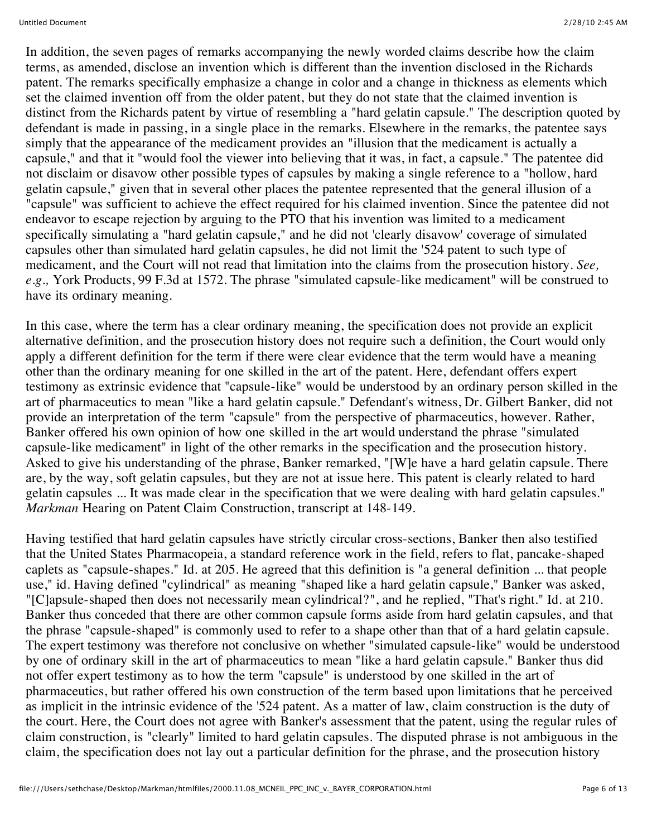In addition, the seven pages of remarks accompanying the newly worded claims describe how the claim terms, as amended, disclose an invention which is different than the invention disclosed in the Richards patent. The remarks specifically emphasize a change in color and a change in thickness as elements which set the claimed invention off from the older patent, but they do not state that the claimed invention is distinct from the Richards patent by virtue of resembling a "hard gelatin capsule." The description quoted by defendant is made in passing, in a single place in the remarks. Elsewhere in the remarks, the patentee says simply that the appearance of the medicament provides an "illusion that the medicament is actually a capsule," and that it "would fool the viewer into believing that it was, in fact, a capsule." The patentee did not disclaim or disavow other possible types of capsules by making a single reference to a "hollow, hard gelatin capsule," given that in several other places the patentee represented that the general illusion of a "capsule" was sufficient to achieve the effect required for his claimed invention. Since the patentee did not endeavor to escape rejection by arguing to the PTO that his invention was limited to a medicament specifically simulating a "hard gelatin capsule," and he did not 'clearly disavow' coverage of simulated capsules other than simulated hard gelatin capsules, he did not limit the '524 patent to such type of medicament, and the Court will not read that limitation into the claims from the prosecution history. *See, e.g.,* York Products, 99 F.3d at 1572. The phrase "simulated capsule-like medicament" will be construed to have its ordinary meaning.

In this case, where the term has a clear ordinary meaning, the specification does not provide an explicit alternative definition, and the prosecution history does not require such a definition, the Court would only apply a different definition for the term if there were clear evidence that the term would have a meaning other than the ordinary meaning for one skilled in the art of the patent. Here, defendant offers expert testimony as extrinsic evidence that "capsule-like" would be understood by an ordinary person skilled in the art of pharmaceutics to mean "like a hard gelatin capsule." Defendant's witness, Dr. Gilbert Banker, did not provide an interpretation of the term "capsule" from the perspective of pharmaceutics, however. Rather, Banker offered his own opinion of how one skilled in the art would understand the phrase "simulated capsule-like medicament" in light of the other remarks in the specification and the prosecution history. Asked to give his understanding of the phrase, Banker remarked, "[W]e have a hard gelatin capsule. There are, by the way, soft gelatin capsules, but they are not at issue here. This patent is clearly related to hard gelatin capsules ... It was made clear in the specification that we were dealing with hard gelatin capsules." *Markman* Hearing on Patent Claim Construction, transcript at 148-149.

Having testified that hard gelatin capsules have strictly circular cross-sections, Banker then also testified that the United States Pharmacopeia, a standard reference work in the field, refers to flat, pancake-shaped caplets as "capsule-shapes." Id. at 205. He agreed that this definition is "a general definition ... that people use," id. Having defined "cylindrical" as meaning "shaped like a hard gelatin capsule," Banker was asked, "[C]apsule-shaped then does not necessarily mean cylindrical?", and he replied, "That's right." Id. at 210. Banker thus conceded that there are other common capsule forms aside from hard gelatin capsules, and that the phrase "capsule-shaped" is commonly used to refer to a shape other than that of a hard gelatin capsule. The expert testimony was therefore not conclusive on whether "simulated capsule-like" would be understood by one of ordinary skill in the art of pharmaceutics to mean "like a hard gelatin capsule." Banker thus did not offer expert testimony as to how the term "capsule" is understood by one skilled in the art of pharmaceutics, but rather offered his own construction of the term based upon limitations that he perceived as implicit in the intrinsic evidence of the '524 patent. As a matter of law, claim construction is the duty of the court. Here, the Court does not agree with Banker's assessment that the patent, using the regular rules of claim construction, is "clearly" limited to hard gelatin capsules. The disputed phrase is not ambiguous in the claim, the specification does not lay out a particular definition for the phrase, and the prosecution history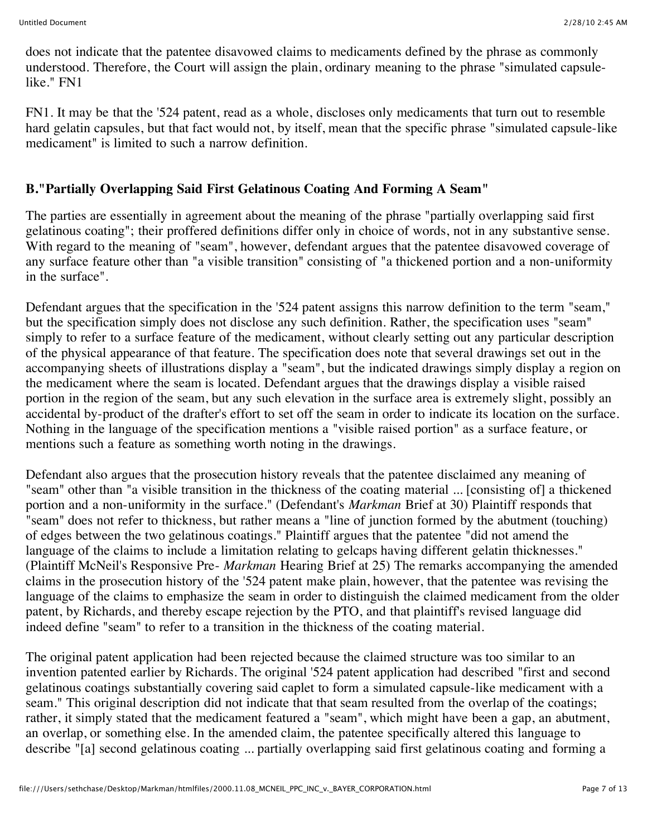does not indicate that the patentee disavowed claims to medicaments defined by the phrase as commonly understood. Therefore, the Court will assign the plain, ordinary meaning to the phrase "simulated capsulelike." FN1

FN1. It may be that the '524 patent, read as a whole, discloses only medicaments that turn out to resemble hard gelatin capsules, but that fact would not, by itself, mean that the specific phrase "simulated capsule-like medicament" is limited to such a narrow definition.

### **B."Partially Overlapping Said First Gelatinous Coating And Forming A Seam"**

The parties are essentially in agreement about the meaning of the phrase "partially overlapping said first gelatinous coating"; their proffered definitions differ only in choice of words, not in any substantive sense. With regard to the meaning of "seam", however, defendant argues that the patentee disavowed coverage of any surface feature other than "a visible transition" consisting of "a thickened portion and a non-uniformity in the surface".

Defendant argues that the specification in the '524 patent assigns this narrow definition to the term "seam," but the specification simply does not disclose any such definition. Rather, the specification uses "seam" simply to refer to a surface feature of the medicament, without clearly setting out any particular description of the physical appearance of that feature. The specification does note that several drawings set out in the accompanying sheets of illustrations display a "seam", but the indicated drawings simply display a region on the medicament where the seam is located. Defendant argues that the drawings display a visible raised portion in the region of the seam, but any such elevation in the surface area is extremely slight, possibly an accidental by-product of the drafter's effort to set off the seam in order to indicate its location on the surface. Nothing in the language of the specification mentions a "visible raised portion" as a surface feature, or mentions such a feature as something worth noting in the drawings.

Defendant also argues that the prosecution history reveals that the patentee disclaimed any meaning of "seam" other than "a visible transition in the thickness of the coating material ... [consisting of] a thickened portion and a non-uniformity in the surface." (Defendant's *Markman* Brief at 30) Plaintiff responds that "seam" does not refer to thickness, but rather means a "line of junction formed by the abutment (touching) of edges between the two gelatinous coatings." Plaintiff argues that the patentee "did not amend the language of the claims to include a limitation relating to gelcaps having different gelatin thicknesses." (Plaintiff McNeil's Responsive Pre- *Markman* Hearing Brief at 25) The remarks accompanying the amended claims in the prosecution history of the '524 patent make plain, however, that the patentee was revising the language of the claims to emphasize the seam in order to distinguish the claimed medicament from the older patent, by Richards, and thereby escape rejection by the PTO, and that plaintiff's revised language did indeed define "seam" to refer to a transition in the thickness of the coating material.

The original patent application had been rejected because the claimed structure was too similar to an invention patented earlier by Richards. The original '524 patent application had described "first and second gelatinous coatings substantially covering said caplet to form a simulated capsule-like medicament with a seam." This original description did not indicate that that seam resulted from the overlap of the coatings; rather, it simply stated that the medicament featured a "seam", which might have been a gap, an abutment, an overlap, or something else. In the amended claim, the patentee specifically altered this language to describe "[a] second gelatinous coating ... partially overlapping said first gelatinous coating and forming a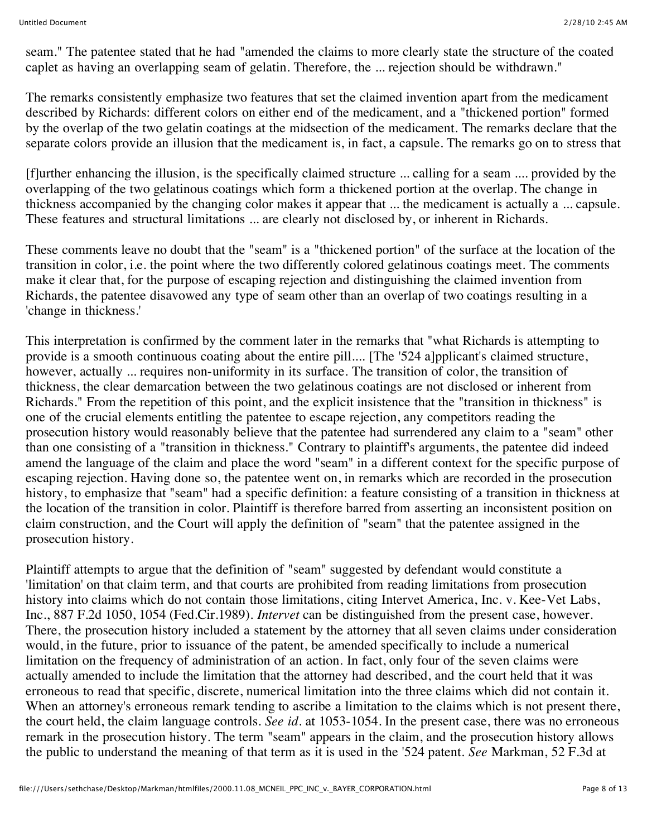seam." The patentee stated that he had "amended the claims to more clearly state the structure of the coated caplet as having an overlapping seam of gelatin. Therefore, the ... rejection should be withdrawn."

The remarks consistently emphasize two features that set the claimed invention apart from the medicament described by Richards: different colors on either end of the medicament, and a "thickened portion" formed by the overlap of the two gelatin coatings at the midsection of the medicament. The remarks declare that the separate colors provide an illusion that the medicament is, in fact, a capsule. The remarks go on to stress that

[f]urther enhancing the illusion, is the specifically claimed structure ... calling for a seam .... provided by the overlapping of the two gelatinous coatings which form a thickened portion at the overlap. The change in thickness accompanied by the changing color makes it appear that ... the medicament is actually a ... capsule. These features and structural limitations ... are clearly not disclosed by, or inherent in Richards.

These comments leave no doubt that the "seam" is a "thickened portion" of the surface at the location of the transition in color, i.e. the point where the two differently colored gelatinous coatings meet. The comments make it clear that, for the purpose of escaping rejection and distinguishing the claimed invention from Richards, the patentee disavowed any type of seam other than an overlap of two coatings resulting in a 'change in thickness.'

This interpretation is confirmed by the comment later in the remarks that "what Richards is attempting to provide is a smooth continuous coating about the entire pill.... [The '524 a]pplicant's claimed structure, however, actually ... requires non-uniformity in its surface. The transition of color, the transition of thickness, the clear demarcation between the two gelatinous coatings are not disclosed or inherent from Richards." From the repetition of this point, and the explicit insistence that the "transition in thickness" is one of the crucial elements entitling the patentee to escape rejection, any competitors reading the prosecution history would reasonably believe that the patentee had surrendered any claim to a "seam" other than one consisting of a "transition in thickness." Contrary to plaintiff's arguments, the patentee did indeed amend the language of the claim and place the word "seam" in a different context for the specific purpose of escaping rejection. Having done so, the patentee went on, in remarks which are recorded in the prosecution history, to emphasize that "seam" had a specific definition: a feature consisting of a transition in thickness at the location of the transition in color. Plaintiff is therefore barred from asserting an inconsistent position on claim construction, and the Court will apply the definition of "seam" that the patentee assigned in the prosecution history.

Plaintiff attempts to argue that the definition of "seam" suggested by defendant would constitute a 'limitation' on that claim term, and that courts are prohibited from reading limitations from prosecution history into claims which do not contain those limitations, citing Intervet America, Inc. v. Kee-Vet Labs, Inc., 887 F.2d 1050, 1054 (Fed.Cir.1989). *Intervet* can be distinguished from the present case, however. There, the prosecution history included a statement by the attorney that all seven claims under consideration would, in the future, prior to issuance of the patent, be amended specifically to include a numerical limitation on the frequency of administration of an action. In fact, only four of the seven claims were actually amended to include the limitation that the attorney had described, and the court held that it was erroneous to read that specific, discrete, numerical limitation into the three claims which did not contain it. When an attorney's erroneous remark tending to ascribe a limitation to the claims which is not present there, the court held, the claim language controls. *See id.* at 1053-1054. In the present case, there was no erroneous remark in the prosecution history. The term "seam" appears in the claim, and the prosecution history allows the public to understand the meaning of that term as it is used in the '524 patent. *See* Markman, 52 F.3d at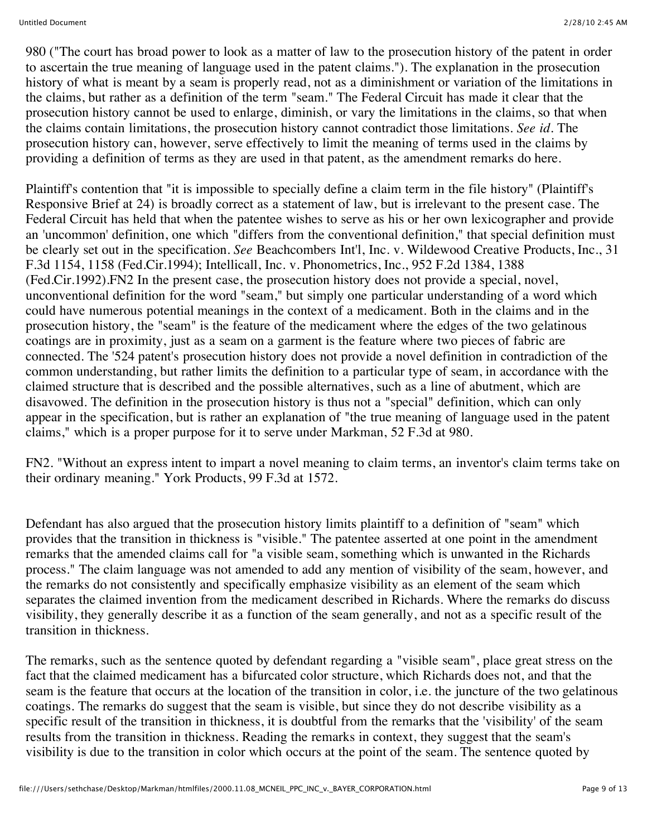980 ("The court has broad power to look as a matter of law to the prosecution history of the patent in order to ascertain the true meaning of language used in the patent claims."). The explanation in the prosecution history of what is meant by a seam is properly read, not as a diminishment or variation of the limitations in the claims, but rather as a definition of the term "seam." The Federal Circuit has made it clear that the prosecution history cannot be used to enlarge, diminish, or vary the limitations in the claims, so that when the claims contain limitations, the prosecution history cannot contradict those limitations. *See id.* The prosecution history can, however, serve effectively to limit the meaning of terms used in the claims by providing a definition of terms as they are used in that patent, as the amendment remarks do here.

Plaintiff's contention that "it is impossible to specially define a claim term in the file history" (Plaintiff's Responsive Brief at 24) is broadly correct as a statement of law, but is irrelevant to the present case. The Federal Circuit has held that when the patentee wishes to serve as his or her own lexicographer and provide an 'uncommon' definition, one which "differs from the conventional definition," that special definition must be clearly set out in the specification. *See* Beachcombers Int'l, Inc. v. Wildewood Creative Products, Inc., 31 F.3d 1154, 1158 (Fed.Cir.1994); Intellicall, Inc. v. Phonometrics, Inc., 952 F.2d 1384, 1388 (Fed.Cir.1992).FN2 In the present case, the prosecution history does not provide a special, novel, unconventional definition for the word "seam," but simply one particular understanding of a word which could have numerous potential meanings in the context of a medicament. Both in the claims and in the prosecution history, the "seam" is the feature of the medicament where the edges of the two gelatinous coatings are in proximity, just as a seam on a garment is the feature where two pieces of fabric are connected. The '524 patent's prosecution history does not provide a novel definition in contradiction of the common understanding, but rather limits the definition to a particular type of seam, in accordance with the claimed structure that is described and the possible alternatives, such as a line of abutment, which are disavowed. The definition in the prosecution history is thus not a "special" definition, which can only appear in the specification, but is rather an explanation of "the true meaning of language used in the patent claims," which is a proper purpose for it to serve under Markman, 52 F.3d at 980.

FN2. "Without an express intent to impart a novel meaning to claim terms, an inventor's claim terms take on their ordinary meaning." York Products, 99 F.3d at 1572.

Defendant has also argued that the prosecution history limits plaintiff to a definition of "seam" which provides that the transition in thickness is "visible." The patentee asserted at one point in the amendment remarks that the amended claims call for "a visible seam, something which is unwanted in the Richards process." The claim language was not amended to add any mention of visibility of the seam, however, and the remarks do not consistently and specifically emphasize visibility as an element of the seam which separates the claimed invention from the medicament described in Richards. Where the remarks do discuss visibility, they generally describe it as a function of the seam generally, and not as a specific result of the transition in thickness.

The remarks, such as the sentence quoted by defendant regarding a "visible seam", place great stress on the fact that the claimed medicament has a bifurcated color structure, which Richards does not, and that the seam is the feature that occurs at the location of the transition in color, i.e. the juncture of the two gelatinous coatings. The remarks do suggest that the seam is visible, but since they do not describe visibility as a specific result of the transition in thickness, it is doubtful from the remarks that the 'visibility' of the seam results from the transition in thickness. Reading the remarks in context, they suggest that the seam's visibility is due to the transition in color which occurs at the point of the seam. The sentence quoted by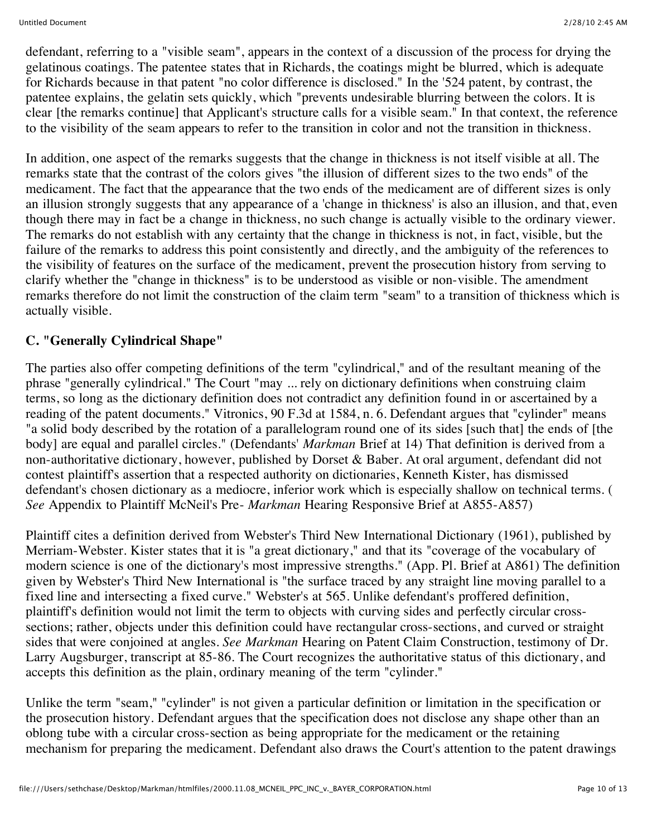defendant, referring to a "visible seam", appears in the context of a discussion of the process for drying the gelatinous coatings. The patentee states that in Richards, the coatings might be blurred, which is adequate for Richards because in that patent "no color difference is disclosed." In the '524 patent, by contrast, the patentee explains, the gelatin sets quickly, which "prevents undesirable blurring between the colors. It is clear [the remarks continue] that Applicant's structure calls for a visible seam." In that context, the reference to the visibility of the seam appears to refer to the transition in color and not the transition in thickness.

In addition, one aspect of the remarks suggests that the change in thickness is not itself visible at all. The remarks state that the contrast of the colors gives "the illusion of different sizes to the two ends" of the medicament. The fact that the appearance that the two ends of the medicament are of different sizes is only an illusion strongly suggests that any appearance of a 'change in thickness' is also an illusion, and that, even though there may in fact be a change in thickness, no such change is actually visible to the ordinary viewer. The remarks do not establish with any certainty that the change in thickness is not, in fact, visible, but the failure of the remarks to address this point consistently and directly, and the ambiguity of the references to the visibility of features on the surface of the medicament, prevent the prosecution history from serving to clarify whether the "change in thickness" is to be understood as visible or non-visible. The amendment remarks therefore do not limit the construction of the claim term "seam" to a transition of thickness which is actually visible.

## **C. "Generally Cylindrical Shape"**

The parties also offer competing definitions of the term "cylindrical," and of the resultant meaning of the phrase "generally cylindrical." The Court "may ... rely on dictionary definitions when construing claim terms, so long as the dictionary definition does not contradict any definition found in or ascertained by a reading of the patent documents." Vitronics, 90 F.3d at 1584, n. 6. Defendant argues that "cylinder" means "a solid body described by the rotation of a parallelogram round one of its sides [such that] the ends of [the body] are equal and parallel circles." (Defendants' *Markman* Brief at 14) That definition is derived from a non-authoritative dictionary, however, published by Dorset & Baber. At oral argument, defendant did not contest plaintiff's assertion that a respected authority on dictionaries, Kenneth Kister, has dismissed defendant's chosen dictionary as a mediocre, inferior work which is especially shallow on technical terms. ( *See* Appendix to Plaintiff McNeil's Pre- *Markman* Hearing Responsive Brief at A855-A857)

Plaintiff cites a definition derived from Webster's Third New International Dictionary (1961), published by Merriam-Webster. Kister states that it is "a great dictionary," and that its "coverage of the vocabulary of modern science is one of the dictionary's most impressive strengths." (App. Pl. Brief at A861) The definition given by Webster's Third New International is "the surface traced by any straight line moving parallel to a fixed line and intersecting a fixed curve." Webster's at 565. Unlike defendant's proffered definition, plaintiff's definition would not limit the term to objects with curving sides and perfectly circular crosssections; rather, objects under this definition could have rectangular cross-sections, and curved or straight sides that were conjoined at angles. *See Markman* Hearing on Patent Claim Construction, testimony of Dr. Larry Augsburger, transcript at 85-86. The Court recognizes the authoritative status of this dictionary, and accepts this definition as the plain, ordinary meaning of the term "cylinder."

Unlike the term "seam," "cylinder" is not given a particular definition or limitation in the specification or the prosecution history. Defendant argues that the specification does not disclose any shape other than an oblong tube with a circular cross-section as being appropriate for the medicament or the retaining mechanism for preparing the medicament. Defendant also draws the Court's attention to the patent drawings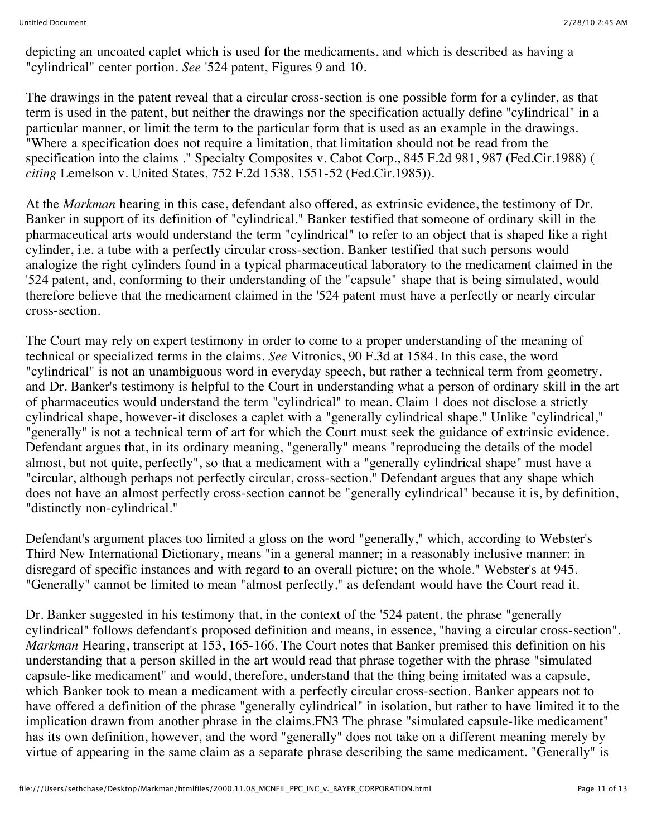depicting an uncoated caplet which is used for the medicaments, and which is described as having a "cylindrical" center portion. *See* '524 patent, Figures 9 and 10.

The drawings in the patent reveal that a circular cross-section is one possible form for a cylinder, as that term is used in the patent, but neither the drawings nor the specification actually define "cylindrical" in a particular manner, or limit the term to the particular form that is used as an example in the drawings. "Where a specification does not require a limitation, that limitation should not be read from the specification into the claims ." Specialty Composites v. Cabot Corp., 845 F.2d 981, 987 (Fed.Cir.1988) ( *citing* Lemelson v. United States, 752 F.2d 1538, 1551-52 (Fed.Cir.1985)).

At the *Markman* hearing in this case, defendant also offered, as extrinsic evidence, the testimony of Dr. Banker in support of its definition of "cylindrical." Banker testified that someone of ordinary skill in the pharmaceutical arts would understand the term "cylindrical" to refer to an object that is shaped like a right cylinder, i.e. a tube with a perfectly circular cross-section. Banker testified that such persons would analogize the right cylinders found in a typical pharmaceutical laboratory to the medicament claimed in the '524 patent, and, conforming to their understanding of the "capsule" shape that is being simulated, would therefore believe that the medicament claimed in the '524 patent must have a perfectly or nearly circular cross-section.

The Court may rely on expert testimony in order to come to a proper understanding of the meaning of technical or specialized terms in the claims. *See* Vitronics, 90 F.3d at 1584. In this case, the word "cylindrical" is not an unambiguous word in everyday speech, but rather a technical term from geometry, and Dr. Banker's testimony is helpful to the Court in understanding what a person of ordinary skill in the art of pharmaceutics would understand the term "cylindrical" to mean. Claim 1 does not disclose a strictly cylindrical shape, however-it discloses a caplet with a "generally cylindrical shape." Unlike "cylindrical," "generally" is not a technical term of art for which the Court must seek the guidance of extrinsic evidence. Defendant argues that, in its ordinary meaning, "generally" means "reproducing the details of the model almost, but not quite, perfectly", so that a medicament with a "generally cylindrical shape" must have a "circular, although perhaps not perfectly circular, cross-section." Defendant argues that any shape which does not have an almost perfectly cross-section cannot be "generally cylindrical" because it is, by definition, "distinctly non-cylindrical."

Defendant's argument places too limited a gloss on the word "generally," which, according to Webster's Third New International Dictionary, means "in a general manner; in a reasonably inclusive manner: in disregard of specific instances and with regard to an overall picture; on the whole." Webster's at 945. "Generally" cannot be limited to mean "almost perfectly," as defendant would have the Court read it.

Dr. Banker suggested in his testimony that, in the context of the '524 patent, the phrase "generally cylindrical" follows defendant's proposed definition and means, in essence, "having a circular cross-section". *Markman* Hearing, transcript at 153, 165-166. The Court notes that Banker premised this definition on his understanding that a person skilled in the art would read that phrase together with the phrase "simulated capsule-like medicament" and would, therefore, understand that the thing being imitated was a capsule, which Banker took to mean a medicament with a perfectly circular cross-section. Banker appears not to have offered a definition of the phrase "generally cylindrical" in isolation, but rather to have limited it to the implication drawn from another phrase in the claims.FN3 The phrase "simulated capsule-like medicament" has its own definition, however, and the word "generally" does not take on a different meaning merely by virtue of appearing in the same claim as a separate phrase describing the same medicament. "Generally" is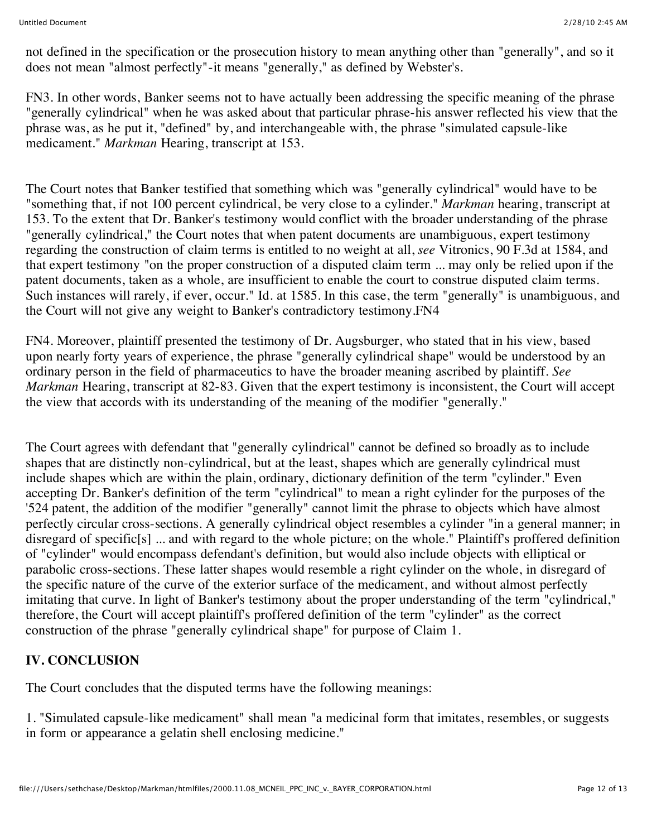not defined in the specification or the prosecution history to mean anything other than "generally", and so it does not mean "almost perfectly"-it means "generally," as defined by Webster's.

FN3. In other words, Banker seems not to have actually been addressing the specific meaning of the phrase "generally cylindrical" when he was asked about that particular phrase-his answer reflected his view that the phrase was, as he put it, "defined" by, and interchangeable with, the phrase "simulated capsule-like medicament." *Markman* Hearing, transcript at 153.

The Court notes that Banker testified that something which was "generally cylindrical" would have to be "something that, if not 100 percent cylindrical, be very close to a cylinder." *Markman* hearing, transcript at 153. To the extent that Dr. Banker's testimony would conflict with the broader understanding of the phrase "generally cylindrical," the Court notes that when patent documents are unambiguous, expert testimony regarding the construction of claim terms is entitled to no weight at all, *see* Vitronics, 90 F.3d at 1584, and that expert testimony "on the proper construction of a disputed claim term ... may only be relied upon if the patent documents, taken as a whole, are insufficient to enable the court to construe disputed claim terms. Such instances will rarely, if ever, occur." Id. at 1585. In this case, the term "generally" is unambiguous, and the Court will not give any weight to Banker's contradictory testimony.FN4

FN4. Moreover, plaintiff presented the testimony of Dr. Augsburger, who stated that in his view, based upon nearly forty years of experience, the phrase "generally cylindrical shape" would be understood by an ordinary person in the field of pharmaceutics to have the broader meaning ascribed by plaintiff. *See Markman* Hearing, transcript at 82-83. Given that the expert testimony is inconsistent, the Court will accept the view that accords with its understanding of the meaning of the modifier "generally."

The Court agrees with defendant that "generally cylindrical" cannot be defined so broadly as to include shapes that are distinctly non-cylindrical, but at the least, shapes which are generally cylindrical must include shapes which are within the plain, ordinary, dictionary definition of the term "cylinder." Even accepting Dr. Banker's definition of the term "cylindrical" to mean a right cylinder for the purposes of the '524 patent, the addition of the modifier "generally" cannot limit the phrase to objects which have almost perfectly circular cross-sections. A generally cylindrical object resembles a cylinder "in a general manner; in disregard of specific[s] ... and with regard to the whole picture; on the whole." Plaintiff's proffered definition of "cylinder" would encompass defendant's definition, but would also include objects with elliptical or parabolic cross-sections. These latter shapes would resemble a right cylinder on the whole, in disregard of the specific nature of the curve of the exterior surface of the medicament, and without almost perfectly imitating that curve. In light of Banker's testimony about the proper understanding of the term "cylindrical," therefore, the Court will accept plaintiff's proffered definition of the term "cylinder" as the correct construction of the phrase "generally cylindrical shape" for purpose of Claim 1.

## **IV. CONCLUSION**

The Court concludes that the disputed terms have the following meanings:

1. "Simulated capsule-like medicament" shall mean "a medicinal form that imitates, resembles, or suggests in form or appearance a gelatin shell enclosing medicine."